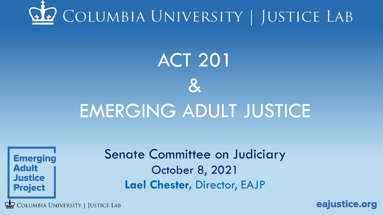

# **ACT 201**  $\mathbf{g}$

# EMERGING ADULT JUSTICE

**Emerging Adult Justice Project** 

Senate Committee on Judiciary October 8, 2021 **Lael Chester,** Director, EAJP

COLUMBIA UNIVERSITY | JUSTICE LAB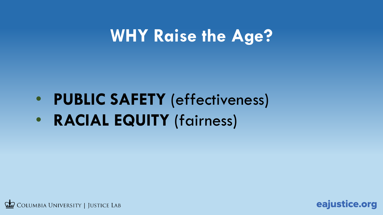# **WHY Raise the Age?**

- **PUBLIC SAFETY** (effectiveness)
- **RACIAL EQUITY** (fairness)



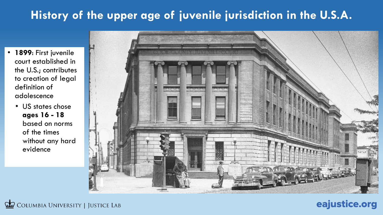### **History of the upper age of juvenile jurisdiction in the U.S.A.**

- **1899**: First juvenile court established in the U.S.; contributes to creation of legal definition of adolescence
	- US states chose **ages 16 - 18**  based on norms of the times without any hard evidence



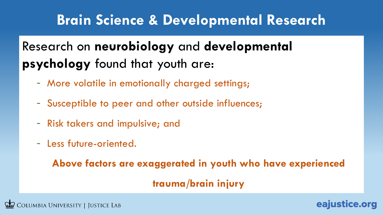### **Brain Science & Developmental Research**

### Research on **neurobiology** and **developmental psychology** found that youth are:

- More volatile in emotionally charged settings;
- Susceptible to peer and other outside influences;
- Risk takers and impulsive; and
- Less future-oriented.

**Above factors are exaggerated in youth who have experienced** 

#### **trauma/brain injury**

eajustice.org

COLUMBIA UNIVERSITY | JUSTICE LAB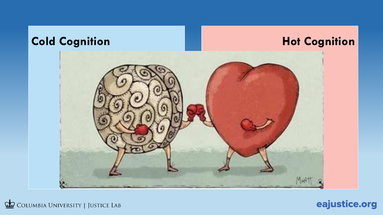

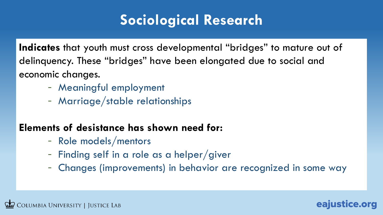## **Sociological Research**

**Indicates** that youth must cross developmental "bridges" to mature out of delinquency. These "bridges" have been elongated due to social and economic changes.

- Meaningful employment
- Marriage/stable relationships

#### **Elements of desistance has shown need for:**

- Role models/mentors
- Finding self in a role as a helper/giver
- Changes (improvements) in behavior are recognized in some way

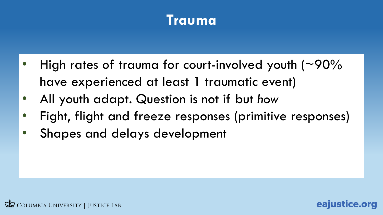### **Trauma**

- High rates of trauma for court-involved youth  $($  ~90% have experienced at least 1 traumatic event)
- All youth adapt. Question is not if but *how*
- Fight, flight and freeze responses (primitive responses)

eajustice.org

• Shapes and delays development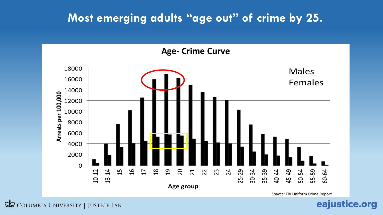#### **Most emerging adults "age out" of crime by 25.**

**Age- Crime Curve**



*Source:* FBI Uniform Crime Report

COLUMBIA UNIVERSITY | JUSTICE LAB  $\overline{CD}$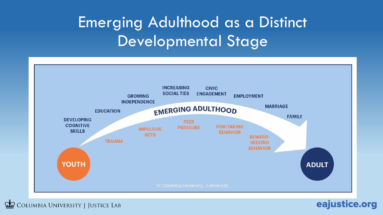# Emerging Adulthood as a Distinct Developmental Stage



eajustice.org

COLUMBIA UNIVERSITY | JUSTICE LAB  $GL$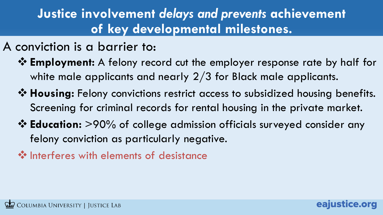### **Justice involvement** *delays and prevents* **achievement of key developmental milestones.**

- A conviction is a barrier to:
	- ❖ **Employment:** A felony record cut the employer response rate by half for white male applicants and nearly  $2/3$  for Black male applicants.
	- ❖ **Housing:** Felony convictions restrict access to subsidized housing benefits. Screening for criminal records for rental housing in the private market.
	- ❖ **Education:** >90% of college admission officials surveyed consider any felony conviction as particularly negative.
	- ❖ Interferes with elements of desistance

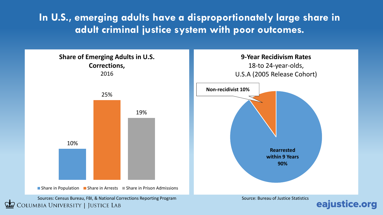**In U.S., emerging adults have a disproportionately large share in adult criminal justice system with poor outcomes.**

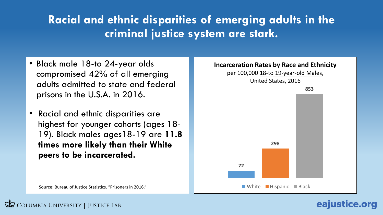### **Racial and ethnic disparities of emerging adults in the criminal justice system are stark.**

- Black male 18-to 24-year olds compromised 42% of all emerging adults admitted to state and federal prisons in the U.S.A. in 2016.
- Racial and ethnic disparities are highest for younger cohorts (ages 18- 19). Black males ages18-19 are **11.8 times more likely than their White peers to be incarcerated.**

Source: Bureau of Justice Statistics. "Prisoners in 2016."

COLUMBIA UNIVERSITY | JUSTICE LAB

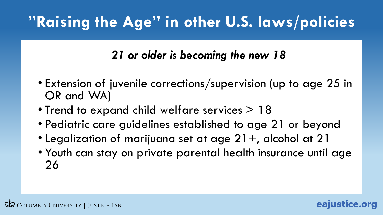# **"Raising the Age" in other U.S. laws/policies**

### *21 or older is becoming the new 18*

- Extension of juvenile corrections/supervision (up to age 25 in OR and WA)
- Trend to expand child welfare services > 18
- Pediatric care guidelines established to age 21 or beyond
- Legalization of marijuana set at age  $21+$ , alcohol at 21
- Youth can stay on private parental health insurance until age 26

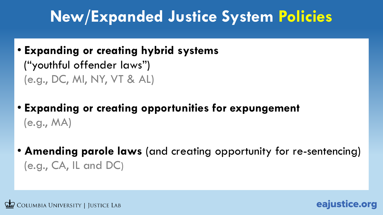# **New/Expanded Justice System Policies**

• **Expanding or creating hybrid systems**

("youthful offender laws") (e.g., DC, MI, NY, VT & AL)

- **Expanding or creating opportunities for expungement**  (e.g., MA)
- **Amending parole laws** (and creating opportunity for re-sentencing) (e.g., CA, IL and DC)